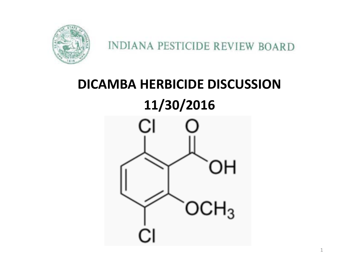

### **DICAMBA HERBICIDE DISCUSSION 11/30/2016**

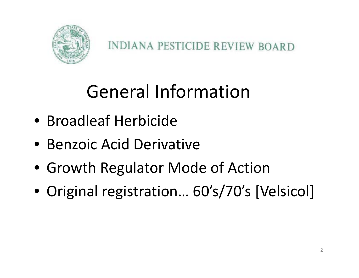

## General Information

- Broadleaf Herbicide
- Benzoic Acid Derivative
- Growth Regulator Mode of Action
- Original registration… 60's/70's [Velsicol]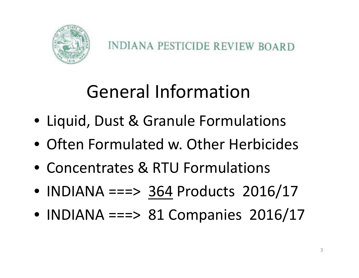

# General Information

- Liquid, Dust & Granule Formulations
- Often Formulated w. Other Herbicides
- Concentrates & RTU Formulations
- INDIANA ===> 364 Products 2016/17
- INDIANA ===> 81 Companies 2016/17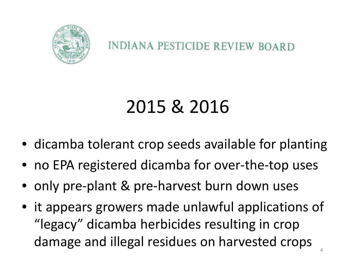

**INDIANA PESTICIDE REVIEW BOARD** 

# 2015 & 2016

- dicamba tolerant crop seeds available for planting
- no EPA registered dicamba for over‐the‐top uses
- only pre‐plant & pre‐harvest burn down uses
- it appears growers made unlawful applications of "legacy" dicamba herbicides resulting in crop damage and illegal residues on harvested crops 4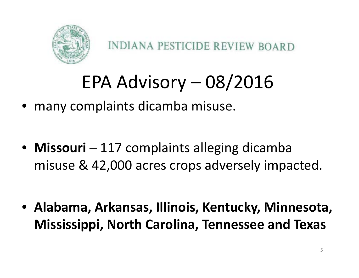

# EPA Advisory – 08/2016

- many complaints dicamba misuse.
- **Missouri** 117 complaints alleging dicamba misuse & 42,000 acres crops adversely impacted.
- **Alabama, Arkansas, Illinois, Kentucky, Minnesota, Mississippi, North Carolina, Tennessee and Texas**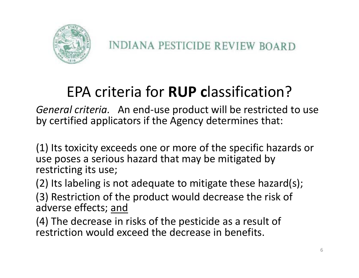

### EPA criteria for **RUP <sup>c</sup>**lassification?

*General criteria.* An end‐use product will be restricted to use by certified applicators if the Agency determines that:

(1) Its toxicity exceeds one or more of the specific hazards or use poses <sup>a</sup> serious hazard that may be mitigated by restricting its use;

(2) Its labeling is not adequate to mitigate these hazard(s);

(3) Restriction of the product would decrease the risk of adverse effects; <u>and</u>

(4) The decrease in risks of the pesticide as <sup>a</sup> result of restriction would exceed the decrease in benefits.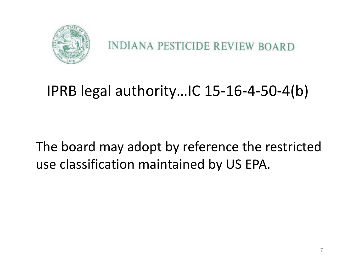

**INDIANA PESTICIDE REVIEW BOARD** 

#### IPRB legal authority…IC 15‐16‐4‐50‐4(b)

The board may adopt by reference the restricted use classification maintained by US EPA.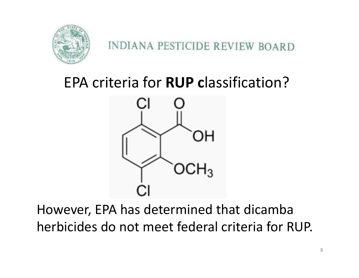

#### **INDIANA PESTICIDE REVIEW BOARD**

#### EPA criteria for **RUP <sup>c</sup>**lassification?



However, EPA has determined that dicamba herbicides do not meet federal criteria for RUP.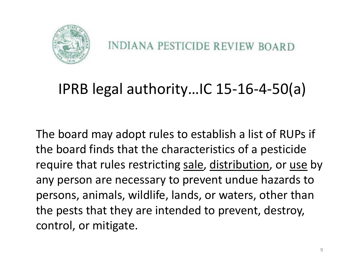

#### IPRB legal authority…IC 15‐16‐4‐50(a)

The board may adopt rules to establish <sup>a</sup> list of RUPs if the board finds that the characteristics of <sup>a</sup> pesticide require that rules restricting sale, distribution, or use by any person are necessary to prevent undue hazards to persons, animals, wildlife, lands, or waters, other than the pests that they are intended to prevent, destroy, control, or mitigate.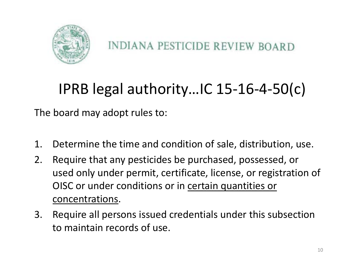

#### IPRB legal authority…IC 15‐16‐4‐50(c)

The board may adopt rules to:

- 1. Determine the time and condition of sale, distribution, use.
- 2. Require that any pesticides be purchased, possessed, or used only under permit, certificate, license, or registration of OISC or under conditions or in <u>certain quantities or</u> concentrations.
- 3. Require all persons issued credentials under this subsection to maintain records of use.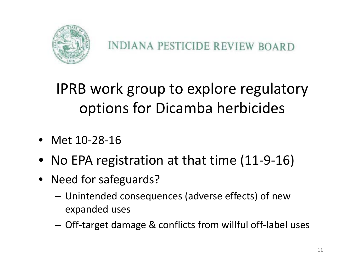

IPRB work group to explore regulatory options for Dicamba herbicides

- Met 10‐28‐16
- No EPA registration at that time (11‐9‐16)
- Need for safeguards?
	- – Unintended consequences (adverse effects) of new expanded uses
	- Off‐target damage & conflicts from willful off‐label uses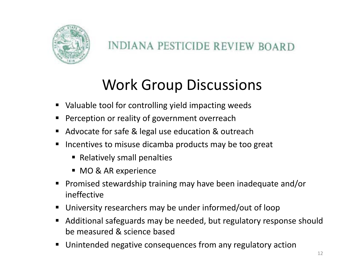

#### Work Group Discussions

- $\blacksquare$ ■ Valuable tool for controlling yield impacting weeds
- П Perception or reality of government overreach
- $\blacksquare$ ■ Advocate for safe & legal use education & outreach
- $\blacksquare$ **Incentives to misuse dicamba products may be too great** 
	- **Example 1 Relatively small penalties**
	- MO & AR experience
- $\blacksquare$ ■ Promised stewardship training may have been inadequate and/or ineffective
- П University researchers may be under informed/out of loop
- П Additional safeguards may be needed, but regulatory response should be measured & science based
- п Unintended negative consequences from any regulatory action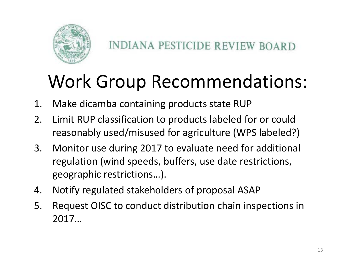

## Work Group Recommendations:

- 1. Make dicamba containing products state RUP
- 2. Limit RUP classification to products labeled for or could reasonably used/misused for agriculture (WPS labeled?)
- 3. Monitor use during 2017 to evaluate need for additional regulation (wind speeds, buffers, use date restrictions, geographic restrictions…).
- 4. Notify regulated stakeholders of proposal ASAP
- 5. Request OISC to conduct distribution chain inspections in 2017…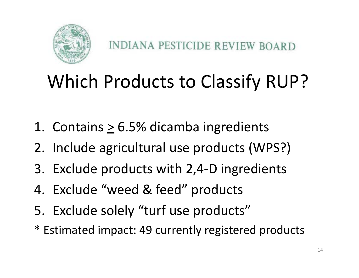

# Which Products to Classify RUP?

- 1. Contains  $\geq 6.5\%$  dicamba ingredients
- 2. Include agricultural use products (WPS?)
- 3. Exclude products with 2,4‐D ingredients
- 4. Exclude "weed & feed" products
- 5. Exclude solely "turf use products"
- \* Estimated impact: 49 currently registered products